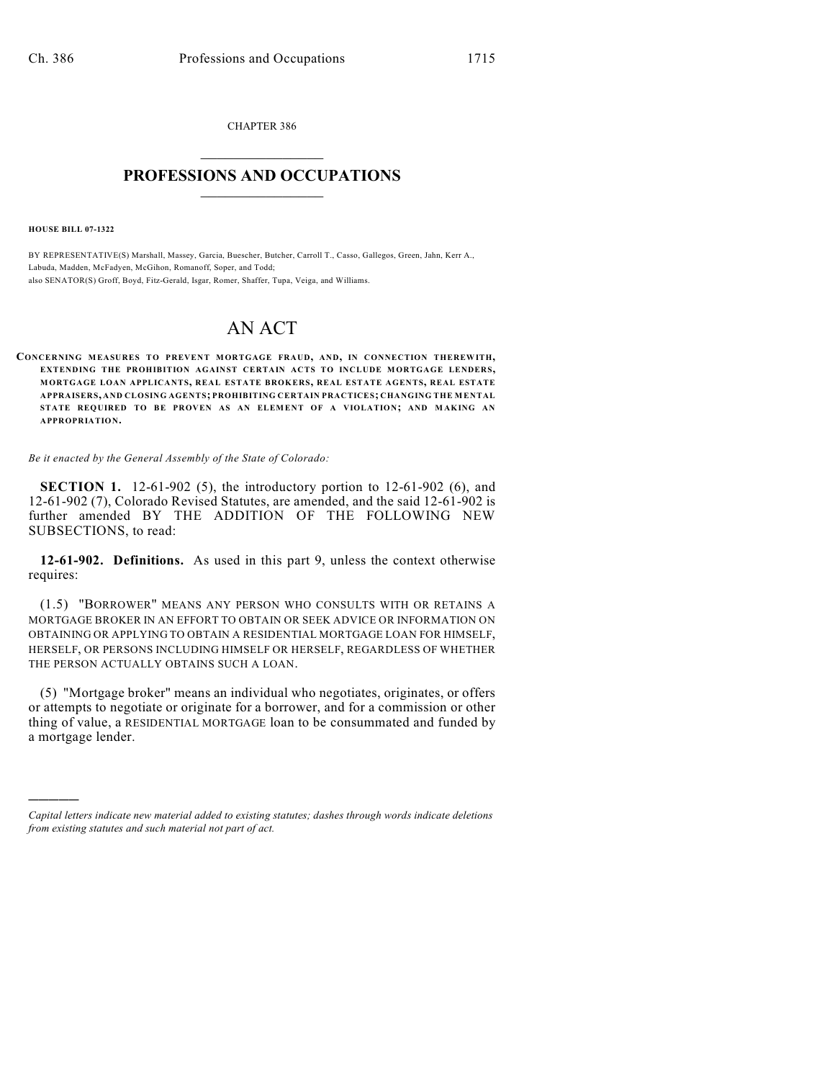CHAPTER 386  $\mathcal{L}_\text{max}$  . The set of the set of the set of the set of the set of the set of the set of the set of the set of the set of the set of the set of the set of the set of the set of the set of the set of the set of the set

## **PROFESSIONS AND OCCUPATIONS**  $\frac{1}{2}$  ,  $\frac{1}{2}$  ,  $\frac{1}{2}$  ,  $\frac{1}{2}$  ,  $\frac{1}{2}$  ,  $\frac{1}{2}$

**HOUSE BILL 07-1322**

)))))

BY REPRESENTATIVE(S) Marshall, Massey, Garcia, Buescher, Butcher, Carroll T., Casso, Gallegos, Green, Jahn, Kerr A., Labuda, Madden, McFadyen, McGihon, Romanoff, Soper, and Todd; also SENATOR(S) Groff, Boyd, Fitz-Gerald, Isgar, Romer, Shaffer, Tupa, Veiga, and Williams.

## AN ACT

**CONCERNING MEASURES TO PREVENT MORTGAGE FRAUD, AND, IN CONNECTION THEREWITH, EXTENDING THE PROHIBITION AGAINST CERTAIN ACTS TO INCLUDE MORTGAGE LENDERS, MORTGAGE LOAN APPLICANTS, REAL ESTATE BROKERS, REAL ESTATE AGENTS, REAL ESTATE APPRAISERS, AND CLOSING AGENTS; PROHIBITING CERTAIN PRACTICES; CHANGING THE MENTAL STATE REQUIRED TO BE PROVEN AS AN ELEMENT OF A VIOLATION; AND M AKING AN APPROPRIATION.**

*Be it enacted by the General Assembly of the State of Colorado:*

**SECTION 1.** 12-61-902 (5), the introductory portion to 12-61-902 (6), and 12-61-902 (7), Colorado Revised Statutes, are amended, and the said 12-61-902 is further amended BY THE ADDITION OF THE FOLLOWING NEW SUBSECTIONS, to read:

**12-61-902. Definitions.** As used in this part 9, unless the context otherwise requires:

(1.5) "BORROWER" MEANS ANY PERSON WHO CONSULTS WITH OR RETAINS A MORTGAGE BROKER IN AN EFFORT TO OBTAIN OR SEEK ADVICE OR INFORMATION ON OBTAINING OR APPLYING TO OBTAIN A RESIDENTIAL MORTGAGE LOAN FOR HIMSELF, HERSELF, OR PERSONS INCLUDING HIMSELF OR HERSELF, REGARDLESS OF WHETHER THE PERSON ACTUALLY OBTAINS SUCH A LOAN.

(5) "Mortgage broker" means an individual who negotiates, originates, or offers or attempts to negotiate or originate for a borrower, and for a commission or other thing of value, a RESIDENTIAL MORTGAGE loan to be consummated and funded by a mortgage lender.

*Capital letters indicate new material added to existing statutes; dashes through words indicate deletions from existing statutes and such material not part of act.*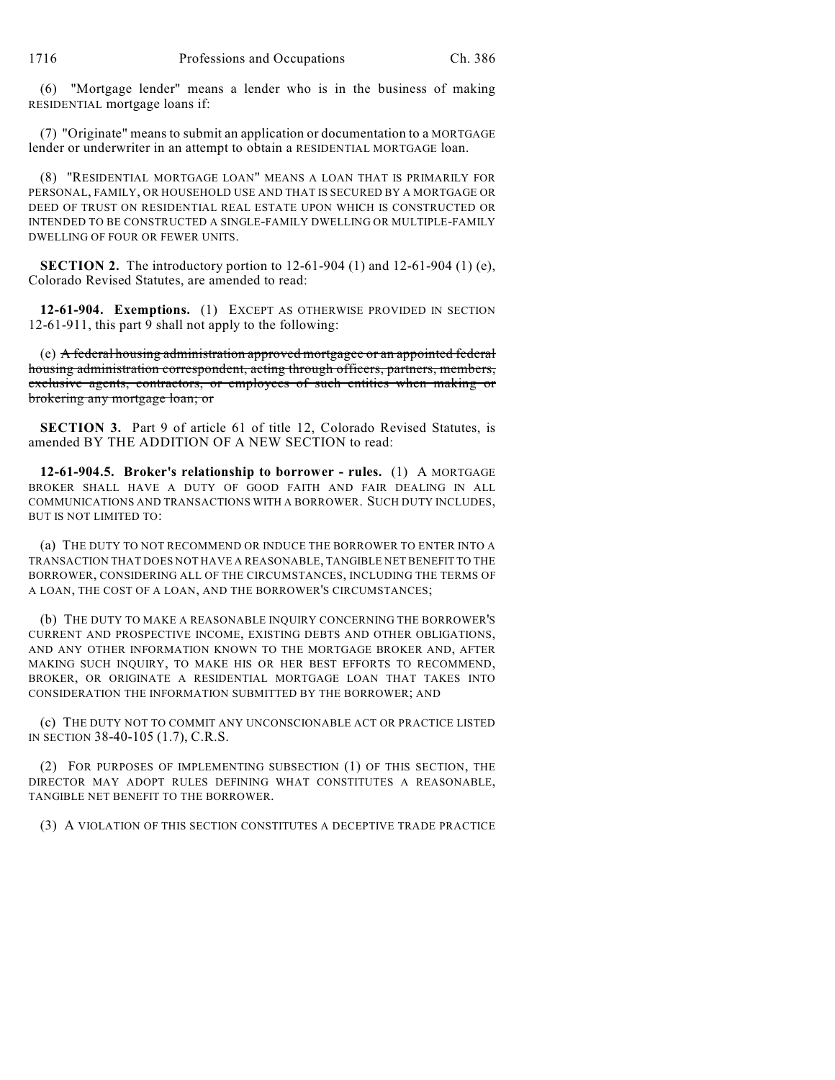(6) "Mortgage lender" means a lender who is in the business of making RESIDENTIAL mortgage loans if:

(7) "Originate" means to submit an application or documentation to a MORTGAGE lender or underwriter in an attempt to obtain a RESIDENTIAL MORTGAGE loan.

(8) "RESIDENTIAL MORTGAGE LOAN" MEANS A LOAN THAT IS PRIMARILY FOR PERSONAL, FAMILY, OR HOUSEHOLD USE AND THAT IS SECURED BY A MORTGAGE OR DEED OF TRUST ON RESIDENTIAL REAL ESTATE UPON WHICH IS CONSTRUCTED OR INTENDED TO BE CONSTRUCTED A SINGLE-FAMILY DWELLING OR MULTIPLE-FAMILY DWELLING OF FOUR OR FEWER UNITS.

**SECTION 2.** The introductory portion to 12-61-904 (1) and 12-61-904 (1) (e), Colorado Revised Statutes, are amended to read:

**12-61-904. Exemptions.** (1) EXCEPT AS OTHERWISE PROVIDED IN SECTION 12-61-911, this part 9 shall not apply to the following:

(e) A federal housing administration approved mortgagee or an appointed federal housing administration correspondent, acting through officers, partners, members, exclusive agents, contractors, or employees of such entities when making or brokering any mortgage loan; or

**SECTION 3.** Part 9 of article 61 of title 12, Colorado Revised Statutes, is amended BY THE ADDITION OF A NEW SECTION to read:

**12-61-904.5. Broker's relationship to borrower - rules.** (1) A MORTGAGE BROKER SHALL HAVE A DUTY OF GOOD FAITH AND FAIR DEALING IN ALL COMMUNICATIONS AND TRANSACTIONS WITH A BORROWER. SUCH DUTY INCLUDES, BUT IS NOT LIMITED TO:

(a) THE DUTY TO NOT RECOMMEND OR INDUCE THE BORROWER TO ENTER INTO A TRANSACTION THAT DOES NOT HAVE A REASONABLE, TANGIBLE NET BENEFIT TO THE BORROWER, CONSIDERING ALL OF THE CIRCUMSTANCES, INCLUDING THE TERMS OF A LOAN, THE COST OF A LOAN, AND THE BORROWER'S CIRCUMSTANCES;

(b) THE DUTY TO MAKE A REASONABLE INQUIRY CONCERNING THE BORROWER'S CURRENT AND PROSPECTIVE INCOME, EXISTING DEBTS AND OTHER OBLIGATIONS, AND ANY OTHER INFORMATION KNOWN TO THE MORTGAGE BROKER AND, AFTER MAKING SUCH INQUIRY, TO MAKE HIS OR HER BEST EFFORTS TO RECOMMEND, BROKER, OR ORIGINATE A RESIDENTIAL MORTGAGE LOAN THAT TAKES INTO CONSIDERATION THE INFORMATION SUBMITTED BY THE BORROWER; AND

(c) THE DUTY NOT TO COMMIT ANY UNCONSCIONABLE ACT OR PRACTICE LISTED IN SECTION 38-40-105 (1.7), C.R.S.

(2) FOR PURPOSES OF IMPLEMENTING SUBSECTION (1) OF THIS SECTION, THE DIRECTOR MAY ADOPT RULES DEFINING WHAT CONSTITUTES A REASONABLE, TANGIBLE NET BENEFIT TO THE BORROWER.

(3) A VIOLATION OF THIS SECTION CONSTITUTES A DECEPTIVE TRADE PRACTICE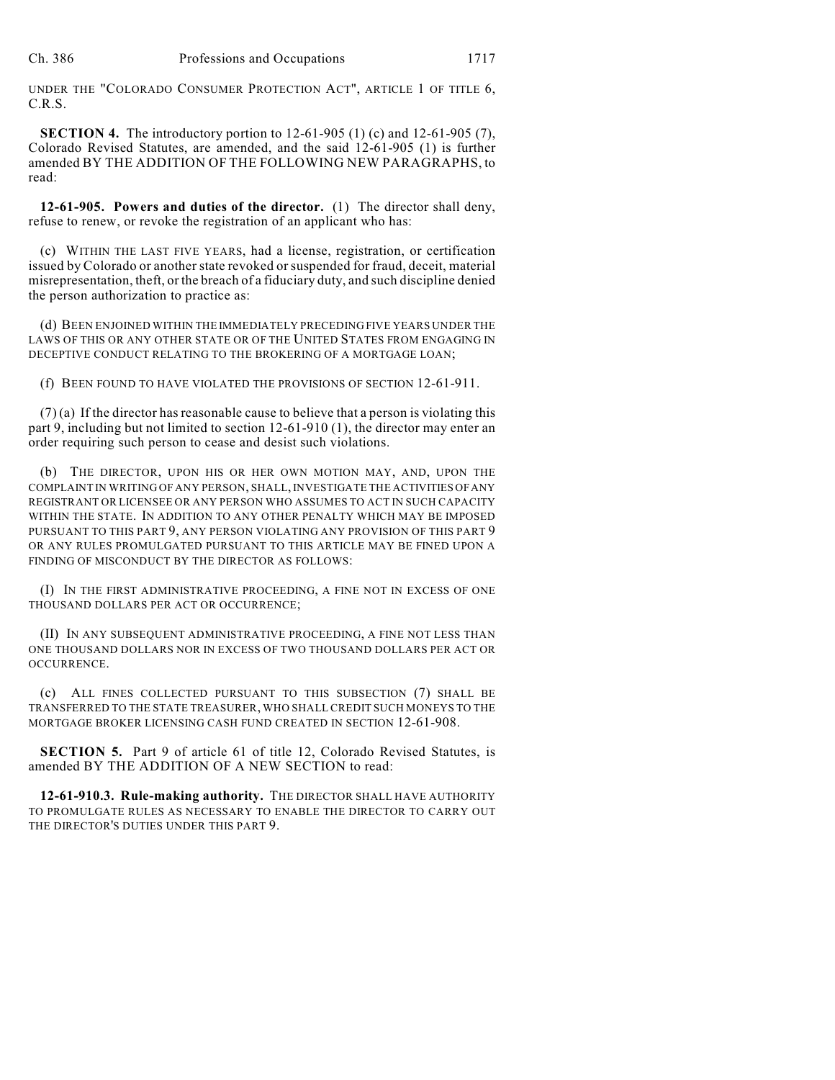UNDER THE "COLORADO CONSUMER PROTECTION ACT", ARTICLE 1 OF TITLE 6, C.R.S.

**SECTION 4.** The introductory portion to 12-61-905 (1) (c) and 12-61-905 (7), Colorado Revised Statutes, are amended, and the said 12-61-905 (1) is further amended BY THE ADDITION OF THE FOLLOWING NEW PARAGRAPHS, to read:

**12-61-905. Powers and duties of the director.** (1) The director shall deny, refuse to renew, or revoke the registration of an applicant who has:

(c) WITHIN THE LAST FIVE YEARS, had a license, registration, or certification issued by Colorado or another state revoked or suspended for fraud, deceit, material misrepresentation, theft, or the breach of a fiduciary duty, and such discipline denied the person authorization to practice as:

(d) BEEN ENJOINED WITHIN THE IMMEDIATELY PRECEDING FIVE YEARS UNDER THE LAWS OF THIS OR ANY OTHER STATE OR OF THE UNITED STATES FROM ENGAGING IN DECEPTIVE CONDUCT RELATING TO THE BROKERING OF A MORTGAGE LOAN;

(f) BEEN FOUND TO HAVE VIOLATED THE PROVISIONS OF SECTION 12-61-911.

 $(7)$  (a) If the director has reasonable cause to believe that a person is violating this part 9, including but not limited to section 12-61-910 (1), the director may enter an order requiring such person to cease and desist such violations.

(b) THE DIRECTOR, UPON HIS OR HER OWN MOTION MAY, AND, UPON THE COMPLAINT IN WRITING OF ANY PERSON, SHALL, INVESTIGATE THE ACTIVITIES OF ANY REGISTRANT OR LICENSEE OR ANY PERSON WHO ASSUMES TO ACT IN SUCH CAPACITY WITHIN THE STATE. IN ADDITION TO ANY OTHER PENALTY WHICH MAY BE IMPOSED PURSUANT TO THIS PART 9, ANY PERSON VIOLATING ANY PROVISION OF THIS PART 9 OR ANY RULES PROMULGATED PURSUANT TO THIS ARTICLE MAY BE FINED UPON A FINDING OF MISCONDUCT BY THE DIRECTOR AS FOLLOWS:

(I) IN THE FIRST ADMINISTRATIVE PROCEEDING, A FINE NOT IN EXCESS OF ONE THOUSAND DOLLARS PER ACT OR OCCURRENCE;

(II) IN ANY SUBSEQUENT ADMINISTRATIVE PROCEEDING, A FINE NOT LESS THAN ONE THOUSAND DOLLARS NOR IN EXCESS OF TWO THOUSAND DOLLARS PER ACT OR OCCURRENCE.

(c) ALL FINES COLLECTED PURSUANT TO THIS SUBSECTION (7) SHALL BE TRANSFERRED TO THE STATE TREASURER, WHO SHALL CREDIT SUCH MONEYS TO THE MORTGAGE BROKER LICENSING CASH FUND CREATED IN SECTION 12-61-908.

**SECTION 5.** Part 9 of article 61 of title 12, Colorado Revised Statutes, is amended BY THE ADDITION OF A NEW SECTION to read:

**12-61-910.3. Rule-making authority.** THE DIRECTOR SHALL HAVE AUTHORITY TO PROMULGATE RULES AS NECESSARY TO ENABLE THE DIRECTOR TO CARRY OUT THE DIRECTOR'S DUTIES UNDER THIS PART 9.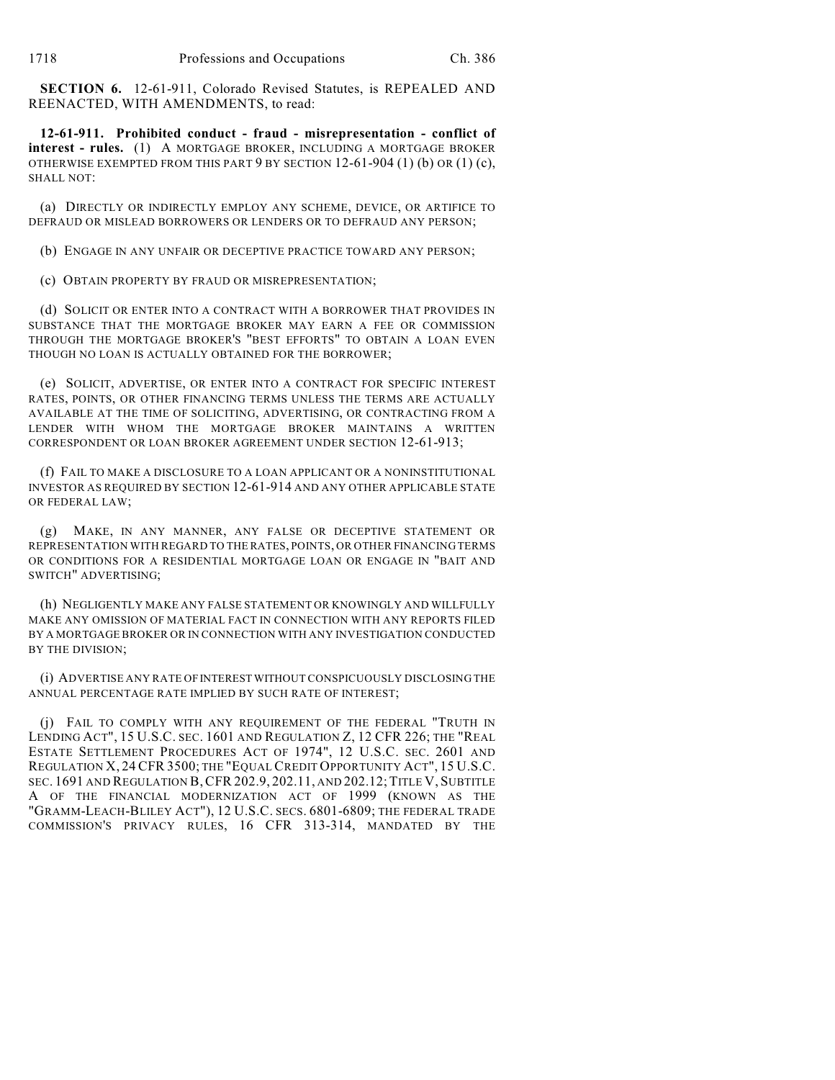**SECTION 6.** 12-61-911, Colorado Revised Statutes, is REPEALED AND REENACTED, WITH AMENDMENTS, to read:

**12-61-911. Prohibited conduct - fraud - misrepresentation - conflict of interest - rules.** (1) A MORTGAGE BROKER, INCLUDING A MORTGAGE BROKER OTHERWISE EXEMPTED FROM THIS PART  $9$  BY SECTION 12-61-904 (1) (b) OR (1) (c), SHALL NOT:

(a) DIRECTLY OR INDIRECTLY EMPLOY ANY SCHEME, DEVICE, OR ARTIFICE TO DEFRAUD OR MISLEAD BORROWERS OR LENDERS OR TO DEFRAUD ANY PERSON;

(b) ENGAGE IN ANY UNFAIR OR DECEPTIVE PRACTICE TOWARD ANY PERSON;

(c) OBTAIN PROPERTY BY FRAUD OR MISREPRESENTATION;

(d) SOLICIT OR ENTER INTO A CONTRACT WITH A BORROWER THAT PROVIDES IN SUBSTANCE THAT THE MORTGAGE BROKER MAY EARN A FEE OR COMMISSION THROUGH THE MORTGAGE BROKER'S "BEST EFFORTS" TO OBTAIN A LOAN EVEN THOUGH NO LOAN IS ACTUALLY OBTAINED FOR THE BORROWER;

(e) SOLICIT, ADVERTISE, OR ENTER INTO A CONTRACT FOR SPECIFIC INTEREST RATES, POINTS, OR OTHER FINANCING TERMS UNLESS THE TERMS ARE ACTUALLY AVAILABLE AT THE TIME OF SOLICITING, ADVERTISING, OR CONTRACTING FROM A LENDER WITH WHOM THE MORTGAGE BROKER MAINTAINS A WRITTEN CORRESPONDENT OR LOAN BROKER AGREEMENT UNDER SECTION 12-61-913;

(f) FAIL TO MAKE A DISCLOSURE TO A LOAN APPLICANT OR A NONINSTITUTIONAL INVESTOR AS REQUIRED BY SECTION 12-61-914 AND ANY OTHER APPLICABLE STATE OR FEDERAL LAW;

(g) MAKE, IN ANY MANNER, ANY FALSE OR DECEPTIVE STATEMENT OR REPRESENTATION WITH REGARD TO THE RATES, POINTS, OR OTHER FINANCING TERMS OR CONDITIONS FOR A RESIDENTIAL MORTGAGE LOAN OR ENGAGE IN "BAIT AND SWITCH" ADVERTISING;

(h) NEGLIGENTLY MAKE ANY FALSE STATEMENT OR KNOWINGLY AND WILLFULLY MAKE ANY OMISSION OF MATERIAL FACT IN CONNECTION WITH ANY REPORTS FILED BY A MORTGAGE BROKER OR IN CONNECTION WITH ANY INVESTIGATION CONDUCTED BY THE DIVISION;

(i) ADVERTISE ANY RATE OF INTEREST WITHOUT CONSPICUOUSLY DISCLOSING THE ANNUAL PERCENTAGE RATE IMPLIED BY SUCH RATE OF INTEREST;

(j) FAIL TO COMPLY WITH ANY REQUIREMENT OF THE FEDERAL "TRUTH IN LENDING ACT", 15 U.S.C. SEC. 1601 AND REGULATION Z, 12 CFR 226; THE "REAL ESTATE SETTLEMENT PROCEDURES ACT OF 1974", 12 U.S.C. SEC. 2601 AND REGULATION X, 24 CFR 3500; THE "EQUAL CREDIT OPPORTUNITY ACT", 15 U.S.C. SEC. 1691 AND REGULATION B,CFR 202.9, 202.11, AND 202.12;TITLE V, SUBTITLE A OF THE FINANCIAL MODERNIZATION ACT OF 1999 (KNOWN AS THE "GRAMM-LEACH-BLILEY ACT"), 12 U.S.C. SECS. 6801-6809; THE FEDERAL TRADE COMMISSION'S PRIVACY RULES, 16 CFR 313-314, MANDATED BY THE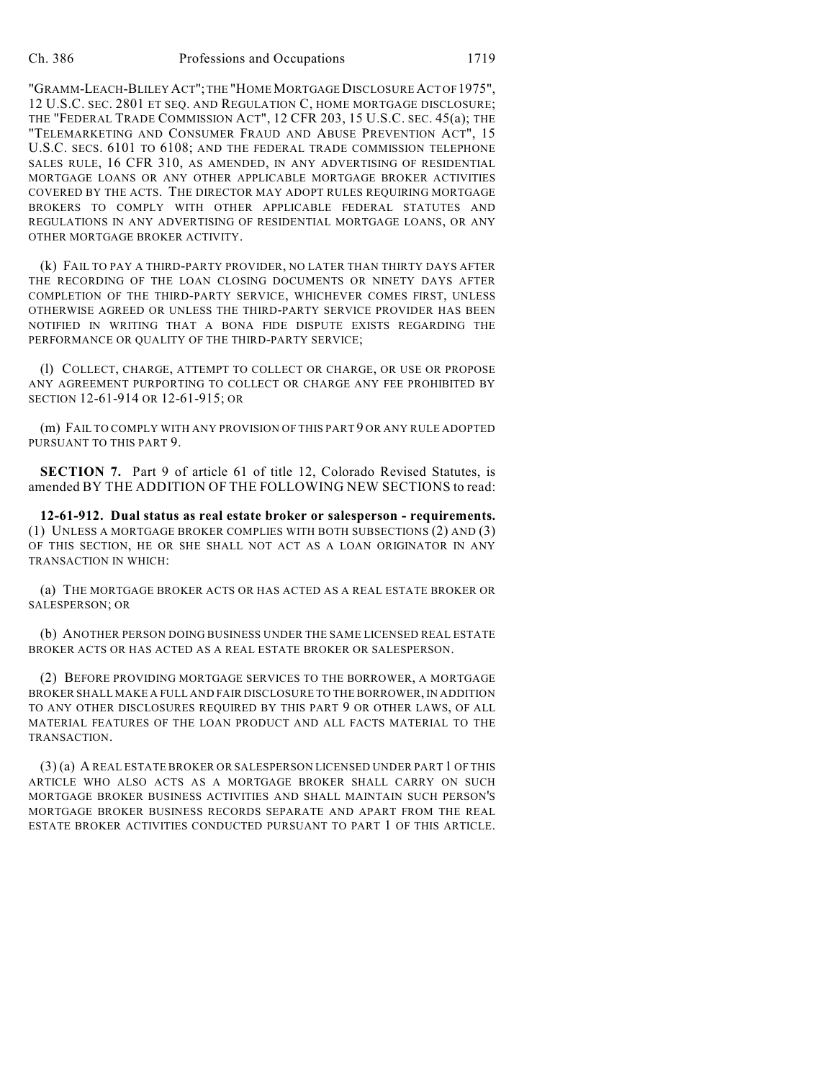"GRAMM-LEACH-BLILEY ACT"; THE "HOME MORTGAGE DISCLOSURE ACT OF 1975", 12 U.S.C. SEC. 2801 ET SEQ. AND REGULATION C, HOME MORTGAGE DISCLOSURE; THE "FEDERAL TRADE COMMISSION ACT", 12 CFR 203, 15 U.S.C. SEC. 45(a); THE "TELEMARKETING AND CONSUMER FRAUD AND ABUSE PREVENTION ACT", 15 U.S.C. SECS. 6101 TO 6108; AND THE FEDERAL TRADE COMMISSION TELEPHONE SALES RULE, 16 CFR 310, AS AMENDED, IN ANY ADVERTISING OF RESIDENTIAL MORTGAGE LOANS OR ANY OTHER APPLICABLE MORTGAGE BROKER ACTIVITIES COVERED BY THE ACTS. THE DIRECTOR MAY ADOPT RULES REQUIRING MORTGAGE BROKERS TO COMPLY WITH OTHER APPLICABLE FEDERAL STATUTES AND REGULATIONS IN ANY ADVERTISING OF RESIDENTIAL MORTGAGE LOANS, OR ANY OTHER MORTGAGE BROKER ACTIVITY.

(k) FAIL TO PAY A THIRD-PARTY PROVIDER, NO LATER THAN THIRTY DAYS AFTER THE RECORDING OF THE LOAN CLOSING DOCUMENTS OR NINETY DAYS AFTER COMPLETION OF THE THIRD-PARTY SERVICE, WHICHEVER COMES FIRST, UNLESS OTHERWISE AGREED OR UNLESS THE THIRD-PARTY SERVICE PROVIDER HAS BEEN NOTIFIED IN WRITING THAT A BONA FIDE DISPUTE EXISTS REGARDING THE PERFORMANCE OR QUALITY OF THE THIRD-PARTY SERVICE;

(l) COLLECT, CHARGE, ATTEMPT TO COLLECT OR CHARGE, OR USE OR PROPOSE ANY AGREEMENT PURPORTING TO COLLECT OR CHARGE ANY FEE PROHIBITED BY SECTION 12-61-914 OR 12-61-915; OR

(m) FAIL TO COMPLY WITH ANY PROVISION OF THIS PART 9 OR ANY RULE ADOPTED PURSUANT TO THIS PART 9.

**SECTION 7.** Part 9 of article 61 of title 12, Colorado Revised Statutes, is amended BY THE ADDITION OF THE FOLLOWING NEW SECTIONS to read:

**12-61-912. Dual status as real estate broker or salesperson - requirements.** (1) UNLESS A MORTGAGE BROKER COMPLIES WITH BOTH SUBSECTIONS (2) AND (3) OF THIS SECTION, HE OR SHE SHALL NOT ACT AS A LOAN ORIGINATOR IN ANY TRANSACTION IN WHICH:

(a) THE MORTGAGE BROKER ACTS OR HAS ACTED AS A REAL ESTATE BROKER OR SALESPERSON; OR

(b) ANOTHER PERSON DOING BUSINESS UNDER THE SAME LICENSED REAL ESTATE BROKER ACTS OR HAS ACTED AS A REAL ESTATE BROKER OR SALESPERSON.

(2) BEFORE PROVIDING MORTGAGE SERVICES TO THE BORROWER, A MORTGAGE BROKER SHALL MAKE A FULL AND FAIR DISCLOSURE TO THE BORROWER, IN ADDITION TO ANY OTHER DISCLOSURES REQUIRED BY THIS PART 9 OR OTHER LAWS, OF ALL MATERIAL FEATURES OF THE LOAN PRODUCT AND ALL FACTS MATERIAL TO THE TRANSACTION.

(3) (a) A REAL ESTATE BROKER OR SALESPERSON LICENSED UNDER PART 1 OF THIS ARTICLE WHO ALSO ACTS AS A MORTGAGE BROKER SHALL CARRY ON SUCH MORTGAGE BROKER BUSINESS ACTIVITIES AND SHALL MAINTAIN SUCH PERSON'S MORTGAGE BROKER BUSINESS RECORDS SEPARATE AND APART FROM THE REAL ESTATE BROKER ACTIVITIES CONDUCTED PURSUANT TO PART 1 OF THIS ARTICLE.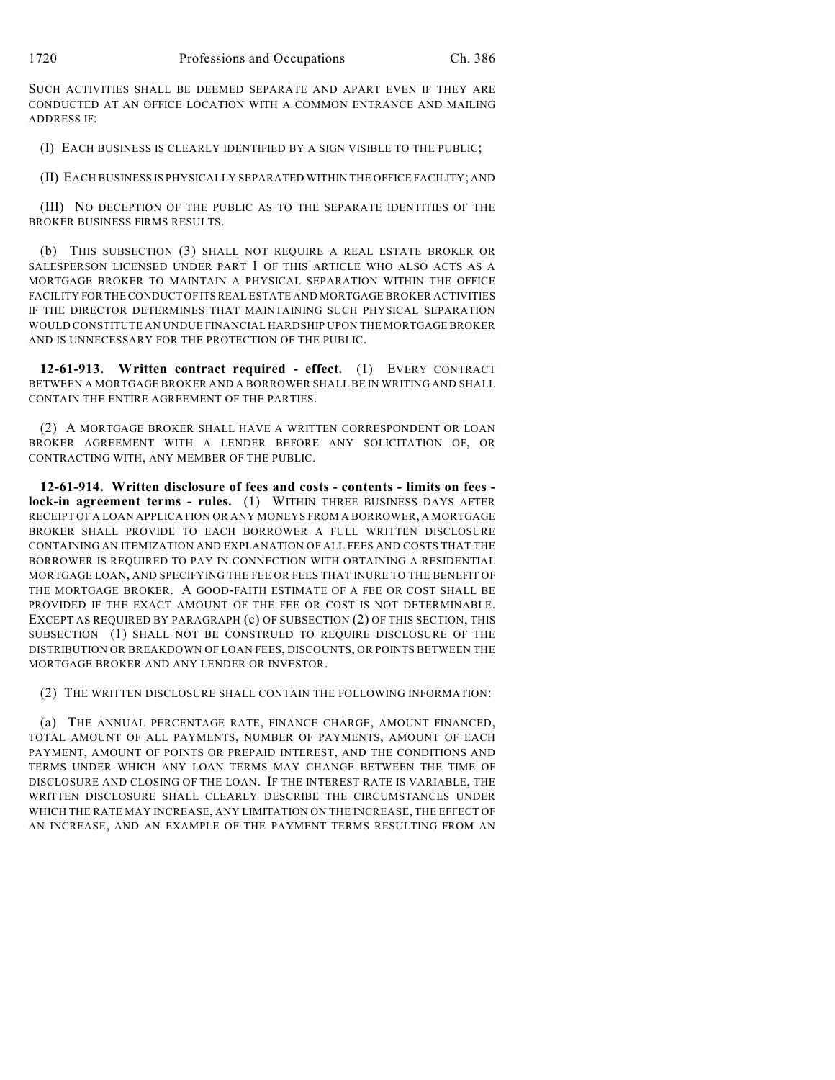SUCH ACTIVITIES SHALL BE DEEMED SEPARATE AND APART EVEN IF THEY ARE CONDUCTED AT AN OFFICE LOCATION WITH A COMMON ENTRANCE AND MAILING ADDRESS IF:

(I) EACH BUSINESS IS CLEARLY IDENTIFIED BY A SIGN VISIBLE TO THE PUBLIC;

(II) EACH BUSINESS IS PHYSICALLY SEPARATED WITHIN THE OFFICE FACILITY; AND

(III) NO DECEPTION OF THE PUBLIC AS TO THE SEPARATE IDENTITIES OF THE BROKER BUSINESS FIRMS RESULTS.

(b) THIS SUBSECTION (3) SHALL NOT REQUIRE A REAL ESTATE BROKER OR SALESPERSON LICENSED UNDER PART 1 OF THIS ARTICLE WHO ALSO ACTS AS A MORTGAGE BROKER TO MAINTAIN A PHYSICAL SEPARATION WITHIN THE OFFICE FACILITY FOR THE CONDUCT OF ITS REAL ESTATE AND MORTGAGE BROKER ACTIVITIES IF THE DIRECTOR DETERMINES THAT MAINTAINING SUCH PHYSICAL SEPARATION WOULD CONSTITUTE AN UNDUE FINANCIAL HARDSHIP UPON THE MORTGAGE BROKER AND IS UNNECESSARY FOR THE PROTECTION OF THE PUBLIC.

**12-61-913. Written contract required - effect.** (1) EVERY CONTRACT BETWEEN A MORTGAGE BROKER AND A BORROWER SHALL BE IN WRITING AND SHALL CONTAIN THE ENTIRE AGREEMENT OF THE PARTIES.

(2) A MORTGAGE BROKER SHALL HAVE A WRITTEN CORRESPONDENT OR LOAN BROKER AGREEMENT WITH A LENDER BEFORE ANY SOLICITATION OF, OR CONTRACTING WITH, ANY MEMBER OF THE PUBLIC.

**12-61-914. Written disclosure of fees and costs - contents - limits on fees lock-in agreement terms - rules.** (1) WITHIN THREE BUSINESS DAYS AFTER RECEIPT OF A LOAN APPLICATION OR ANY MONEYS FROM A BORROWER, A MORTGAGE BROKER SHALL PROVIDE TO EACH BORROWER A FULL WRITTEN DISCLOSURE CONTAINING AN ITEMIZATION AND EXPLANATION OF ALL FEES AND COSTS THAT THE BORROWER IS REQUIRED TO PAY IN CONNECTION WITH OBTAINING A RESIDENTIAL MORTGAGE LOAN, AND SPECIFYING THE FEE OR FEES THAT INURE TO THE BENEFIT OF THE MORTGAGE BROKER. A GOOD-FAITH ESTIMATE OF A FEE OR COST SHALL BE PROVIDED IF THE EXACT AMOUNT OF THE FEE OR COST IS NOT DETERMINABLE. EXCEPT AS REQUIRED BY PARAGRAPH (c) OF SUBSECTION (2) OF THIS SECTION, THIS SUBSECTION (1) SHALL NOT BE CONSTRUED TO REQUIRE DISCLOSURE OF THE DISTRIBUTION OR BREAKDOWN OF LOAN FEES, DISCOUNTS, OR POINTS BETWEEN THE MORTGAGE BROKER AND ANY LENDER OR INVESTOR.

(2) THE WRITTEN DISCLOSURE SHALL CONTAIN THE FOLLOWING INFORMATION:

(a) THE ANNUAL PERCENTAGE RATE, FINANCE CHARGE, AMOUNT FINANCED, TOTAL AMOUNT OF ALL PAYMENTS, NUMBER OF PAYMENTS, AMOUNT OF EACH PAYMENT, AMOUNT OF POINTS OR PREPAID INTEREST, AND THE CONDITIONS AND TERMS UNDER WHICH ANY LOAN TERMS MAY CHANGE BETWEEN THE TIME OF DISCLOSURE AND CLOSING OF THE LOAN. IF THE INTEREST RATE IS VARIABLE, THE WRITTEN DISCLOSURE SHALL CLEARLY DESCRIBE THE CIRCUMSTANCES UNDER WHICH THE RATE MAY INCREASE, ANY LIMITATION ON THE INCREASE, THE EFFECT OF AN INCREASE, AND AN EXAMPLE OF THE PAYMENT TERMS RESULTING FROM AN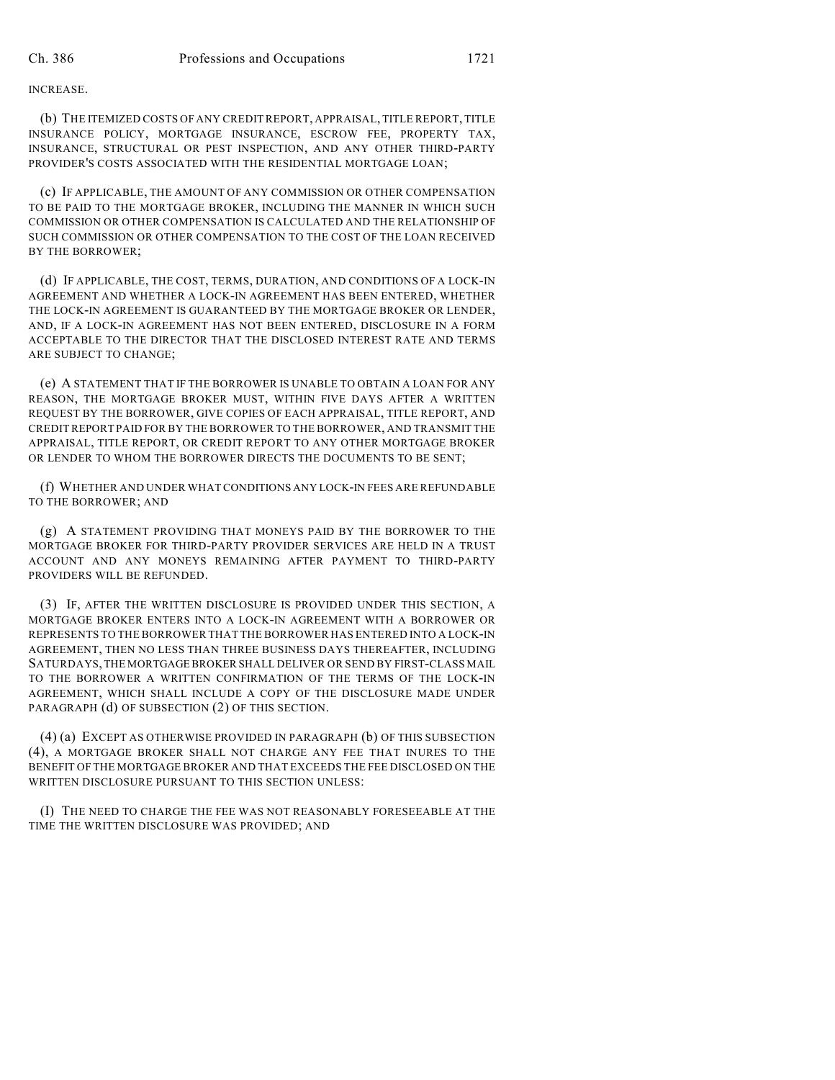## INCREASE.

(b) THE ITEMIZED COSTS OF ANY CREDIT REPORT, APPRAISAL, TITLE REPORT, TITLE INSURANCE POLICY, MORTGAGE INSURANCE, ESCROW FEE, PROPERTY TAX, INSURANCE, STRUCTURAL OR PEST INSPECTION, AND ANY OTHER THIRD-PARTY PROVIDER'S COSTS ASSOCIATED WITH THE RESIDENTIAL MORTGAGE LOAN;

(c) IF APPLICABLE, THE AMOUNT OF ANY COMMISSION OR OTHER COMPENSATION TO BE PAID TO THE MORTGAGE BROKER, INCLUDING THE MANNER IN WHICH SUCH COMMISSION OR OTHER COMPENSATION IS CALCULATED AND THE RELATIONSHIP OF SUCH COMMISSION OR OTHER COMPENSATION TO THE COST OF THE LOAN RECEIVED BY THE BORROWER;

(d) IF APPLICABLE, THE COST, TERMS, DURATION, AND CONDITIONS OF A LOCK-IN AGREEMENT AND WHETHER A LOCK-IN AGREEMENT HAS BEEN ENTERED, WHETHER THE LOCK-IN AGREEMENT IS GUARANTEED BY THE MORTGAGE BROKER OR LENDER, AND, IF A LOCK-IN AGREEMENT HAS NOT BEEN ENTERED, DISCLOSURE IN A FORM ACCEPTABLE TO THE DIRECTOR THAT THE DISCLOSED INTEREST RATE AND TERMS ARE SUBJECT TO CHANGE;

(e) A STATEMENT THAT IF THE BORROWER IS UNABLE TO OBTAIN A LOAN FOR ANY REASON, THE MORTGAGE BROKER MUST, WITHIN FIVE DAYS AFTER A WRITTEN REQUEST BY THE BORROWER, GIVE COPIES OF EACH APPRAISAL, TITLE REPORT, AND CREDIT REPORT PAID FOR BY THE BORROWER TO THE BORROWER, AND TRANSMIT THE APPRAISAL, TITLE REPORT, OR CREDIT REPORT TO ANY OTHER MORTGAGE BROKER OR LENDER TO WHOM THE BORROWER DIRECTS THE DOCUMENTS TO BE SENT;

(f) WHETHER AND UNDER WHAT CONDITIONS ANY LOCK-IN FEES ARE REFUNDABLE TO THE BORROWER; AND

(g) A STATEMENT PROVIDING THAT MONEYS PAID BY THE BORROWER TO THE MORTGAGE BROKER FOR THIRD-PARTY PROVIDER SERVICES ARE HELD IN A TRUST ACCOUNT AND ANY MONEYS REMAINING AFTER PAYMENT TO THIRD-PARTY PROVIDERS WILL BE REFUNDED.

(3) IF, AFTER THE WRITTEN DISCLOSURE IS PROVIDED UNDER THIS SECTION, A MORTGAGE BROKER ENTERS INTO A LOCK-IN AGREEMENT WITH A BORROWER OR REPRESENTS TO THE BORROWER THAT THE BORROWER HAS ENTERED INTO A LOCK-IN AGREEMENT, THEN NO LESS THAN THREE BUSINESS DAYS THEREAFTER, INCLUDING SATURDAYS, THE MORTGAGE BROKER SHALL DELIVER OR SEND BY FIRST-CLASS MAIL TO THE BORROWER A WRITTEN CONFIRMATION OF THE TERMS OF THE LOCK-IN AGREEMENT, WHICH SHALL INCLUDE A COPY OF THE DISCLOSURE MADE UNDER PARAGRAPH (d) OF SUBSECTION (2) OF THIS SECTION.

(4) (a) EXCEPT AS OTHERWISE PROVIDED IN PARAGRAPH (b) OF THIS SUBSECTION (4), A MORTGAGE BROKER SHALL NOT CHARGE ANY FEE THAT INURES TO THE BENEFIT OF THE MORTGAGE BROKER AND THAT EXCEEDS THE FEE DISCLOSED ON THE WRITTEN DISCLOSURE PURSUANT TO THIS SECTION UNLESS:

(I) THE NEED TO CHARGE THE FEE WAS NOT REASONABLY FORESEEABLE AT THE TIME THE WRITTEN DISCLOSURE WAS PROVIDED; AND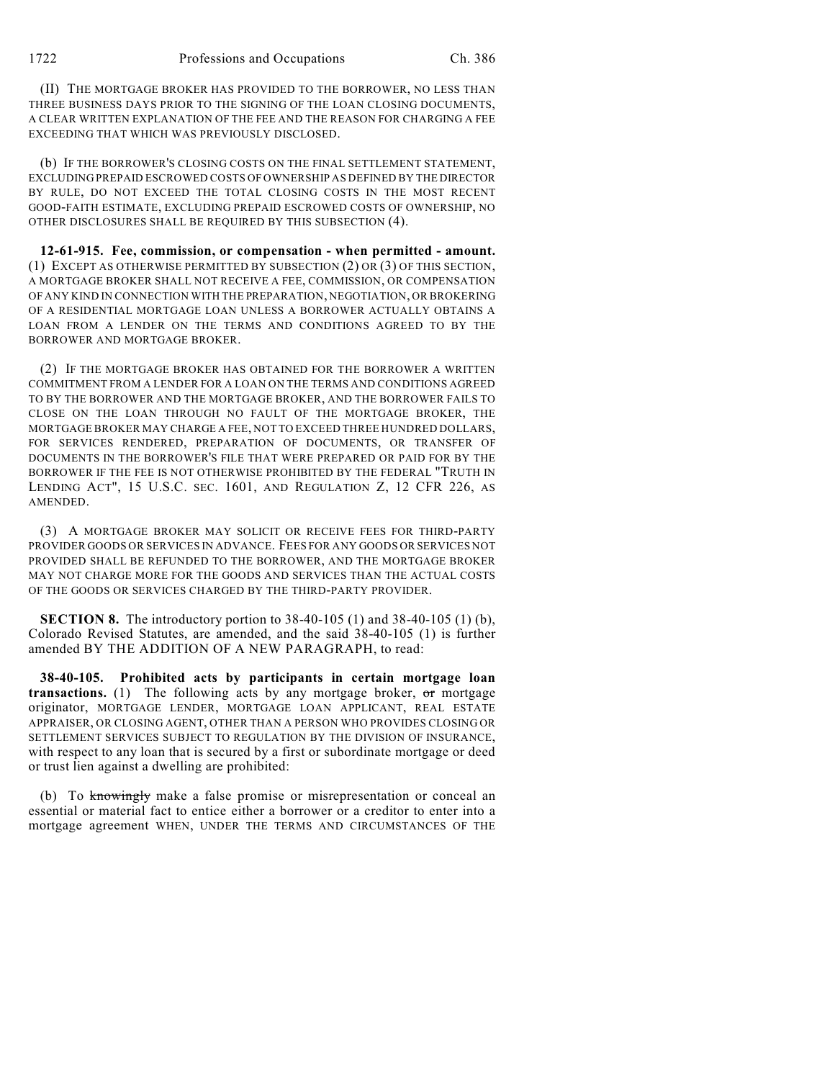(II) THE MORTGAGE BROKER HAS PROVIDED TO THE BORROWER, NO LESS THAN THREE BUSINESS DAYS PRIOR TO THE SIGNING OF THE LOAN CLOSING DOCUMENTS, A CLEAR WRITTEN EXPLANATION OF THE FEE AND THE REASON FOR CHARGING A FEE EXCEEDING THAT WHICH WAS PREVIOUSLY DISCLOSED.

(b) IF THE BORROWER'S CLOSING COSTS ON THE FINAL SETTLEMENT STATEMENT, EXCLUDING PREPAID ESCROWED COSTS OF OWNERSHIP AS DEFINED BY THE DIRECTOR BY RULE, DO NOT EXCEED THE TOTAL CLOSING COSTS IN THE MOST RECENT GOOD-FAITH ESTIMATE, EXCLUDING PREPAID ESCROWED COSTS OF OWNERSHIP, NO OTHER DISCLOSURES SHALL BE REQUIRED BY THIS SUBSECTION (4).

**12-61-915. Fee, commission, or compensation - when permitted - amount.** (1) EXCEPT AS OTHERWISE PERMITTED BY SUBSECTION (2) OR (3) OF THIS SECTION, A MORTGAGE BROKER SHALL NOT RECEIVE A FEE, COMMISSION, OR COMPENSATION OF ANY KIND IN CONNECTION WITH THE PREPARATION, NEGOTIATION, OR BROKERING OF A RESIDENTIAL MORTGAGE LOAN UNLESS A BORROWER ACTUALLY OBTAINS A LOAN FROM A LENDER ON THE TERMS AND CONDITIONS AGREED TO BY THE BORROWER AND MORTGAGE BROKER.

(2) IF THE MORTGAGE BROKER HAS OBTAINED FOR THE BORROWER A WRITTEN COMMITMENT FROM A LENDER FOR A LOAN ON THE TERMS AND CONDITIONS AGREED TO BY THE BORROWER AND THE MORTGAGE BROKER, AND THE BORROWER FAILS TO CLOSE ON THE LOAN THROUGH NO FAULT OF THE MORTGAGE BROKER, THE MORTGAGE BROKER MAY CHARGE A FEE, NOT TO EXCEED THREE HUNDRED DOLLARS, FOR SERVICES RENDERED, PREPARATION OF DOCUMENTS, OR TRANSFER OF DOCUMENTS IN THE BORROWER'S FILE THAT WERE PREPARED OR PAID FOR BY THE BORROWER IF THE FEE IS NOT OTHERWISE PROHIBITED BY THE FEDERAL "TRUTH IN LENDING ACT", 15 U.S.C. SEC. 1601, AND REGULATION Z, 12 CFR 226, AS AMENDED.

(3) A MORTGAGE BROKER MAY SOLICIT OR RECEIVE FEES FOR THIRD-PARTY PROVIDER GOODS OR SERVICES IN ADVANCE. FEES FOR ANY GOODS OR SERVICES NOT PROVIDED SHALL BE REFUNDED TO THE BORROWER, AND THE MORTGAGE BROKER MAY NOT CHARGE MORE FOR THE GOODS AND SERVICES THAN THE ACTUAL COSTS OF THE GOODS OR SERVICES CHARGED BY THE THIRD-PARTY PROVIDER.

**SECTION 8.** The introductory portion to 38-40-105 (1) and 38-40-105 (1) (b), Colorado Revised Statutes, are amended, and the said 38-40-105 (1) is further amended BY THE ADDITION OF A NEW PARAGRAPH, to read:

**38-40-105. Prohibited acts by participants in certain mortgage loan transactions.** (1) The following acts by any mortgage broker, or mortgage originator, MORTGAGE LENDER, MORTGAGE LOAN APPLICANT, REAL ESTATE APPRAISER, OR CLOSING AGENT, OTHER THAN A PERSON WHO PROVIDES CLOSING OR SETTLEMENT SERVICES SUBJECT TO REGULATION BY THE DIVISION OF INSURANCE, with respect to any loan that is secured by a first or subordinate mortgage or deed or trust lien against a dwelling are prohibited:

(b) To knowingly make a false promise or misrepresentation or conceal an essential or material fact to entice either a borrower or a creditor to enter into a mortgage agreement WHEN, UNDER THE TERMS AND CIRCUMSTANCES OF THE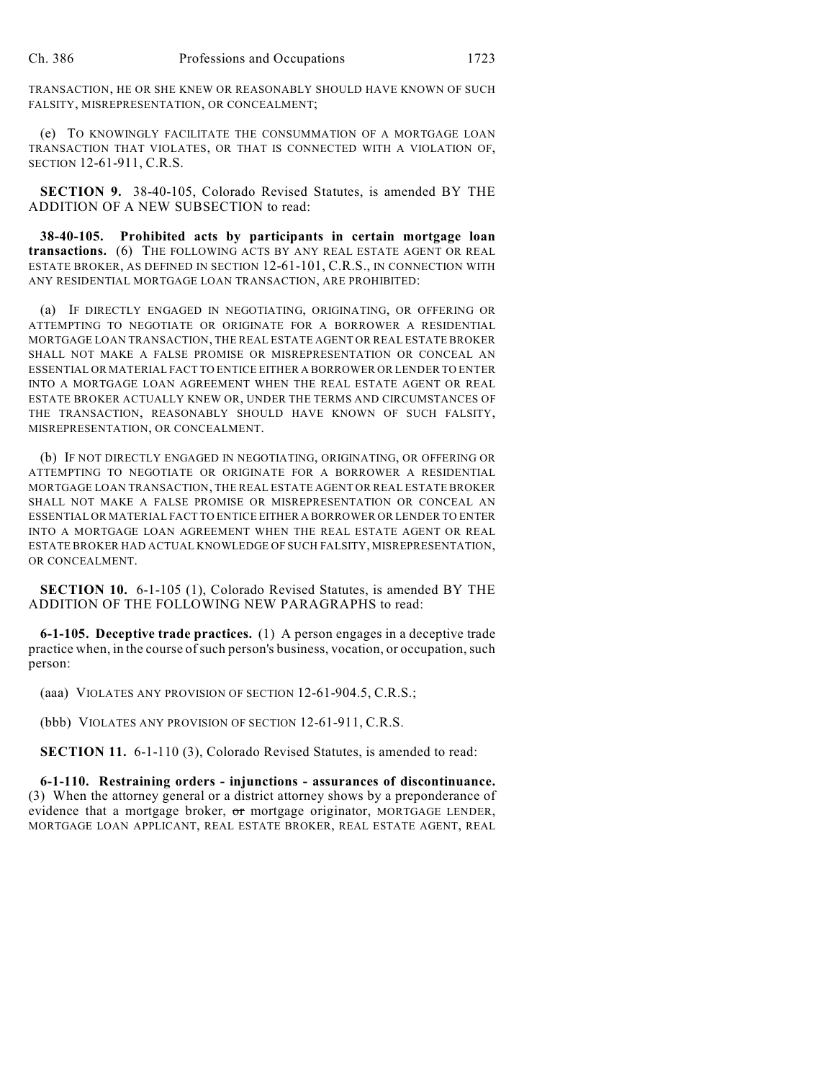TRANSACTION, HE OR SHE KNEW OR REASONABLY SHOULD HAVE KNOWN OF SUCH FALSITY, MISREPRESENTATION, OR CONCEALMENT;

(e) TO KNOWINGLY FACILITATE THE CONSUMMATION OF A MORTGAGE LOAN TRANSACTION THAT VIOLATES, OR THAT IS CONNECTED WITH A VIOLATION OF, SECTION 12-61-911, C.R.S.

**SECTION 9.** 38-40-105, Colorado Revised Statutes, is amended BY THE ADDITION OF A NEW SUBSECTION to read:

**38-40-105. Prohibited acts by participants in certain mortgage loan transactions.** (6) THE FOLLOWING ACTS BY ANY REAL ESTATE AGENT OR REAL ESTATE BROKER, AS DEFINED IN SECTION 12-61-101, C.R.S., IN CONNECTION WITH ANY RESIDENTIAL MORTGAGE LOAN TRANSACTION, ARE PROHIBITED:

(a) IF DIRECTLY ENGAGED IN NEGOTIATING, ORIGINATING, OR OFFERING OR ATTEMPTING TO NEGOTIATE OR ORIGINATE FOR A BORROWER A RESIDENTIAL MORTGAGE LOAN TRANSACTION, THE REAL ESTATE AGENT OR REAL ESTATE BROKER SHALL NOT MAKE A FALSE PROMISE OR MISREPRESENTATION OR CONCEAL AN ESSENTIAL OR MATERIAL FACT TO ENTICE EITHER A BORROWER OR LENDER TO ENTER INTO A MORTGAGE LOAN AGREEMENT WHEN THE REAL ESTATE AGENT OR REAL ESTATE BROKER ACTUALLY KNEW OR, UNDER THE TERMS AND CIRCUMSTANCES OF THE TRANSACTION, REASONABLY SHOULD HAVE KNOWN OF SUCH FALSITY, MISREPRESENTATION, OR CONCEALMENT.

(b) IF NOT DIRECTLY ENGAGED IN NEGOTIATING, ORIGINATING, OR OFFERING OR ATTEMPTING TO NEGOTIATE OR ORIGINATE FOR A BORROWER A RESIDENTIAL MORTGAGE LOAN TRANSACTION, THE REAL ESTATE AGENT OR REAL ESTATE BROKER SHALL NOT MAKE A FALSE PROMISE OR MISREPRESENTATION OR CONCEAL AN ESSENTIAL OR MATERIAL FACT TO ENTICE EITHER A BORROWER OR LENDER TO ENTER INTO A MORTGAGE LOAN AGREEMENT WHEN THE REAL ESTATE AGENT OR REAL ESTATE BROKER HAD ACTUAL KNOWLEDGE OF SUCH FALSITY, MISREPRESENTATION, OR CONCEALMENT.

**SECTION 10.** 6-1-105 (1), Colorado Revised Statutes, is amended BY THE ADDITION OF THE FOLLOWING NEW PARAGRAPHS to read:

**6-1-105. Deceptive trade practices.** (1) A person engages in a deceptive trade practice when, in the course of such person's business, vocation, or occupation, such person:

(aaa) VIOLATES ANY PROVISION OF SECTION 12-61-904.5, C.R.S.;

(bbb) VIOLATES ANY PROVISION OF SECTION 12-61-911, C.R.S.

**SECTION 11.** 6-1-110 (3), Colorado Revised Statutes, is amended to read:

**6-1-110. Restraining orders - injunctions - assurances of discontinuance.** (3) When the attorney general or a district attorney shows by a preponderance of evidence that a mortgage broker,  $\sigma$ r mortgage originator, MORTGAGE LENDER, MORTGAGE LOAN APPLICANT, REAL ESTATE BROKER, REAL ESTATE AGENT, REAL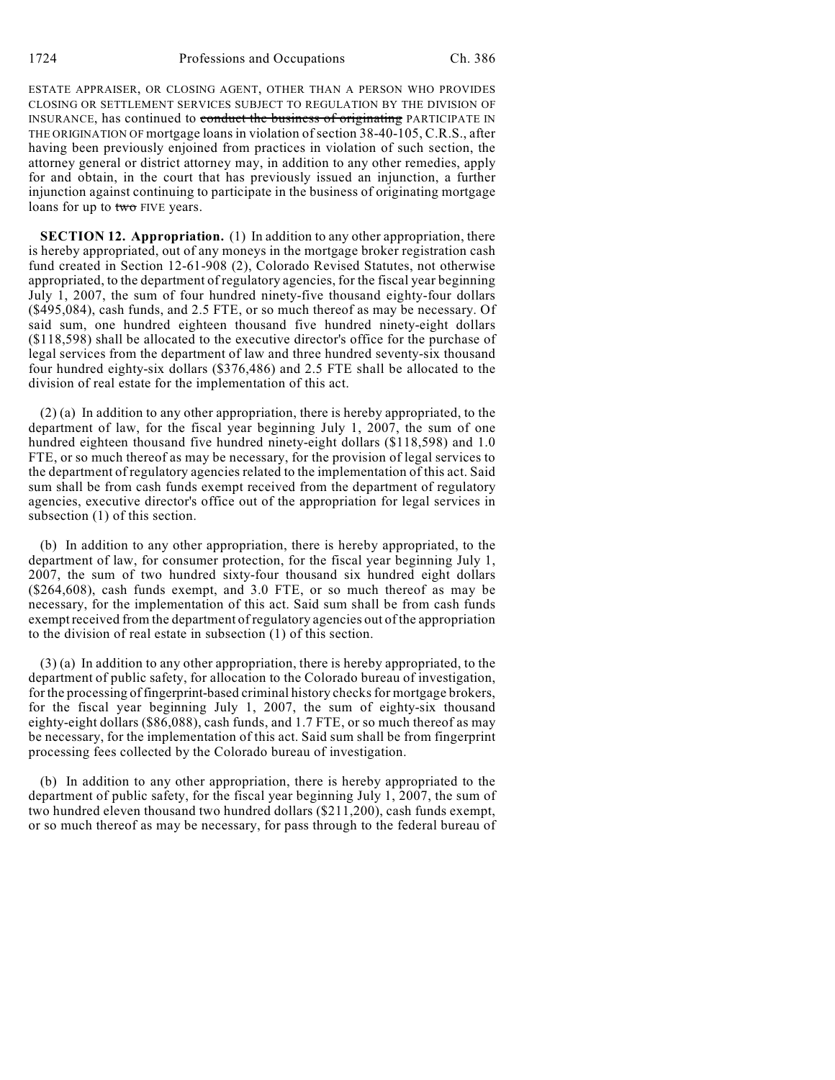ESTATE APPRAISER, OR CLOSING AGENT, OTHER THAN A PERSON WHO PROVIDES CLOSING OR SETTLEMENT SERVICES SUBJECT TO REGULATION BY THE DIVISION OF INSURANCE, has continued to conduct the business of originating PARTICIPATE IN THE ORIGINATION OF mortgage loans in violation of section 38-40-105, C.R.S., after having been previously enjoined from practices in violation of such section, the attorney general or district attorney may, in addition to any other remedies, apply for and obtain, in the court that has previously issued an injunction, a further injunction against continuing to participate in the business of originating mortgage loans for up to two FIVE years.

**SECTION 12. Appropriation.** (1) In addition to any other appropriation, there is hereby appropriated, out of any moneys in the mortgage broker registration cash fund created in Section 12-61-908 (2), Colorado Revised Statutes, not otherwise appropriated, to the department of regulatory agencies, for the fiscal year beginning July 1, 2007, the sum of four hundred ninety-five thousand eighty-four dollars (\$495,084), cash funds, and 2.5 FTE, or so much thereof as may be necessary. Of said sum, one hundred eighteen thousand five hundred ninety-eight dollars (\$118,598) shall be allocated to the executive director's office for the purchase of legal services from the department of law and three hundred seventy-six thousand four hundred eighty-six dollars (\$376,486) and 2.5 FTE shall be allocated to the division of real estate for the implementation of this act.

(2) (a) In addition to any other appropriation, there is hereby appropriated, to the department of law, for the fiscal year beginning July 1, 2007, the sum of one hundred eighteen thousand five hundred ninety-eight dollars (\$118,598) and 1.0 FTE, or so much thereof as may be necessary, for the provision of legal services to the department of regulatory agencies related to the implementation of this act. Said sum shall be from cash funds exempt received from the department of regulatory agencies, executive director's office out of the appropriation for legal services in subsection (1) of this section.

(b) In addition to any other appropriation, there is hereby appropriated, to the department of law, for consumer protection, for the fiscal year beginning July 1, 2007, the sum of two hundred sixty-four thousand six hundred eight dollars (\$264,608), cash funds exempt, and 3.0 FTE, or so much thereof as may be necessary, for the implementation of this act. Said sum shall be from cash funds exempt received from the department of regulatory agencies out of the appropriation to the division of real estate in subsection (1) of this section.

(3) (a) In addition to any other appropriation, there is hereby appropriated, to the department of public safety, for allocation to the Colorado bureau of investigation, for the processing of fingerprint-based criminal history checks for mortgage brokers, for the fiscal year beginning July 1, 2007, the sum of eighty-six thousand eighty-eight dollars (\$86,088), cash funds, and 1.7 FTE, or so much thereof as may be necessary, for the implementation of this act. Said sum shall be from fingerprint processing fees collected by the Colorado bureau of investigation.

(b) In addition to any other appropriation, there is hereby appropriated to the department of public safety, for the fiscal year beginning July 1, 2007, the sum of two hundred eleven thousand two hundred dollars (\$211,200), cash funds exempt, or so much thereof as may be necessary, for pass through to the federal bureau of